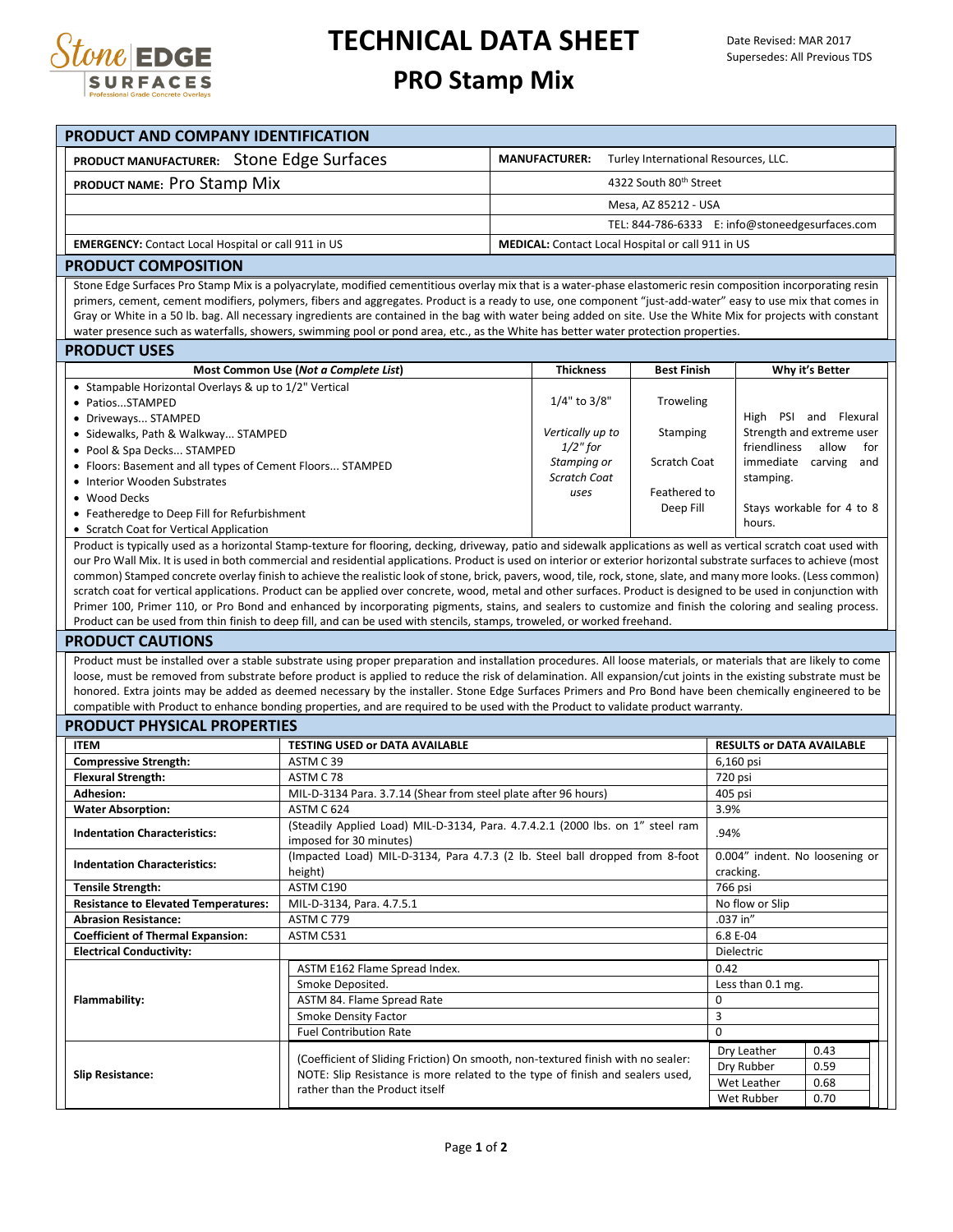

## **TECHNICAL DATA SHEET**

## **PRO Stamp Mix**

| PRODUCT AND COMPANY IDENTIFICATION                                                                                                                                                                                                                                                                                                    |                                                                                                                                                                                                     |                        |                                                                          |                                             |                       |  |
|---------------------------------------------------------------------------------------------------------------------------------------------------------------------------------------------------------------------------------------------------------------------------------------------------------------------------------------|-----------------------------------------------------------------------------------------------------------------------------------------------------------------------------------------------------|------------------------|--------------------------------------------------------------------------|---------------------------------------------|-----------------------|--|
| <b>PRODUCT MANUFACTURER:</b> Stone Edge Surfaces                                                                                                                                                                                                                                                                                      | <b>MANUFACTURER:</b><br>Turley International Resources, LLC.                                                                                                                                        |                        |                                                                          |                                             |                       |  |
| PRODUCT NAME: Pro Stamp Mix                                                                                                                                                                                                                                                                                                           |                                                                                                                                                                                                     | 4322 South 80th Street |                                                                          |                                             |                       |  |
|                                                                                                                                                                                                                                                                                                                                       | Mesa, AZ 85212 - USA                                                                                                                                                                                |                        |                                                                          |                                             |                       |  |
|                                                                                                                                                                                                                                                                                                                                       |                                                                                                                                                                                                     |                        |                                                                          |                                             |                       |  |
|                                                                                                                                                                                                                                                                                                                                       | TEL: 844-786-6333 E: info@stoneedgesurfaces.com<br><b>MEDICAL:</b> Contact Local Hospital or call 911 in US                                                                                         |                        |                                                                          |                                             |                       |  |
| <b>EMERGENCY:</b> Contact Local Hospital or call 911 in US                                                                                                                                                                                                                                                                            |                                                                                                                                                                                                     |                        |                                                                          |                                             |                       |  |
| <b>PRODUCT COMPOSITION</b>                                                                                                                                                                                                                                                                                                            |                                                                                                                                                                                                     |                        |                                                                          |                                             |                       |  |
| Stone Edge Surfaces Pro Stamp Mix is a polyacrylate, modified cementitious overlay mix that is a water-phase elastomeric resin composition incorporating resin<br>primers, cement, cement modifiers, polymers, fibers and aggregates. Product is a ready to use, one component "just-add-water" easy to use mix that comes in         |                                                                                                                                                                                                     |                        |                                                                          |                                             |                       |  |
| Gray or White in a 50 lb. bag. All necessary ingredients are contained in the bag with water being added on site. Use the White Mix for projects with constant                                                                                                                                                                        |                                                                                                                                                                                                     |                        |                                                                          |                                             |                       |  |
| water presence such as waterfalls, showers, swimming pool or pond area, etc., as the White has better water protection properties.                                                                                                                                                                                                    |                                                                                                                                                                                                     |                        |                                                                          |                                             |                       |  |
| <b>PRODUCT USES</b>                                                                                                                                                                                                                                                                                                                   |                                                                                                                                                                                                     |                        |                                                                          |                                             |                       |  |
| Most Common Use (Not a Complete List)                                                                                                                                                                                                                                                                                                 |                                                                                                                                                                                                     |                        | <b>Best Finish</b>                                                       |                                             | Why it's Better       |  |
| • Stampable Horizontal Overlays & up to 1/2" Vertical                                                                                                                                                                                                                                                                                 | $1/4"$ to $3/8"$                                                                                                                                                                                    | Troweling              |                                                                          |                                             |                       |  |
| · PatiosSTAMPED<br>• Driveways STAMPED                                                                                                                                                                                                                                                                                                |                                                                                                                                                                                                     |                        |                                                                          |                                             | High PSI and Flexural |  |
| · Sidewalks, Path & Walkway STAMPED                                                                                                                                                                                                                                                                                                   |                                                                                                                                                                                                     |                        | Strength and extreme user<br>Vertically up to<br>Stamping<br>$1/2$ " for |                                             |                       |  |
| • Pool & Spa Decks STAMPED                                                                                                                                                                                                                                                                                                            |                                                                                                                                                                                                     |                        |                                                                          | friendliness<br>allow<br>for                |                       |  |
| • Floors: Basement and all types of Cement Floors STAMPED                                                                                                                                                                                                                                                                             |                                                                                                                                                                                                     |                        | Stamping or<br>Scratch Coat<br><b>Scratch Coat</b>                       | immediate carving<br>and<br>stamping.       |                       |  |
| • Interior Wooden Substrates<br>• Wood Decks                                                                                                                                                                                                                                                                                          |                                                                                                                                                                                                     |                        |                                                                          | Feathered to                                |                       |  |
| • Featheredge to Deep Fill for Refurbishment                                                                                                                                                                                                                                                                                          |                                                                                                                                                                                                     |                        | Deep Fill                                                                | Stays workable for 4 to 8                   |                       |  |
| • Scratch Coat for Vertical Application                                                                                                                                                                                                                                                                                               |                                                                                                                                                                                                     |                        |                                                                          | hours.                                      |                       |  |
| Product is typically used as a horizontal Stamp-texture for flooring, decking, driveway, patio and sidewalk applications as well as vertical scratch coat used with                                                                                                                                                                   |                                                                                                                                                                                                     |                        |                                                                          |                                             |                       |  |
| our Pro Wall Mix. It is used in both commercial and residential applications. Product is used on interior or exterior horizontal substrate surfaces to achieve (most                                                                                                                                                                  |                                                                                                                                                                                                     |                        |                                                                          |                                             |                       |  |
| common) Stamped concrete overlay finish to achieve the realistic look of stone, brick, pavers, wood, tile, rock, stone, slate, and many more looks. (Less common)<br>scratch coat for vertical applications. Product can be applied over concrete, wood, metal and other surfaces. Product is designed to be used in conjunction with |                                                                                                                                                                                                     |                        |                                                                          |                                             |                       |  |
| Primer 100, Primer 110, or Pro Bond and enhanced by incorporating pigments, stains, and sealers to customize and finish the coloring and sealing process.                                                                                                                                                                             |                                                                                                                                                                                                     |                        |                                                                          |                                             |                       |  |
| Product can be used from thin finish to deep fill, and can be used with stencils, stamps, troweled, or worked freehand.                                                                                                                                                                                                               |                                                                                                                                                                                                     |                        |                                                                          |                                             |                       |  |
| <b>PRODUCT CAUTIONS</b>                                                                                                                                                                                                                                                                                                               |                                                                                                                                                                                                     |                        |                                                                          |                                             |                       |  |
| Product must be installed over a stable substrate using proper preparation and installation procedures. All loose materials, or materials that are likely to come                                                                                                                                                                     |                                                                                                                                                                                                     |                        |                                                                          |                                             |                       |  |
| loose, must be removed from substrate before product is applied to reduce the risk of delamination. All expansion/cut joints in the existing substrate must be<br>honored. Extra joints may be added as deemed necessary by the installer. Stone Edge Surfaces Primers and Pro Bond have been chemically engineered to be             |                                                                                                                                                                                                     |                        |                                                                          |                                             |                       |  |
| compatible with Product to enhance bonding properties, and are required to be used with the Product to validate product warranty.                                                                                                                                                                                                     |                                                                                                                                                                                                     |                        |                                                                          |                                             |                       |  |
| <b>PRODUCT PHYSICAL PROPERTIES</b>                                                                                                                                                                                                                                                                                                    |                                                                                                                                                                                                     |                        |                                                                          |                                             |                       |  |
| <b>ITEM</b>                                                                                                                                                                                                                                                                                                                           | <b>TESTING USED or DATA AVAILABLE</b>                                                                                                                                                               |                        |                                                                          | <b>RESULTS or DATA AVAILABLE</b>            |                       |  |
| <b>Compressive Strength:</b>                                                                                                                                                                                                                                                                                                          | ASTM C39                                                                                                                                                                                            |                        |                                                                          | 6,160 psi                                   |                       |  |
| <b>Flexural Strength:</b><br><b>Adhesion:</b>                                                                                                                                                                                                                                                                                         | ASTM C78<br>MIL-D-3134 Para. 3.7.14 (Shear from steel plate after 96 hours)                                                                                                                         |                        |                                                                          | 720 psi<br>405 psi                          |                       |  |
| <b>Water Absorption:</b>                                                                                                                                                                                                                                                                                                              | ASTM C 624                                                                                                                                                                                          |                        |                                                                          | 3.9%                                        |                       |  |
| <b>Indentation Characteristics:</b>                                                                                                                                                                                                                                                                                                   | (Steadily Applied Load) MIL-D-3134, Para. 4.7.4.2.1 (2000 lbs. on 1" steel ram<br>.94%                                                                                                              |                        |                                                                          |                                             |                       |  |
|                                                                                                                                                                                                                                                                                                                                       | imposed for 30 minutes)                                                                                                                                                                             |                        |                                                                          |                                             |                       |  |
| <b>Indentation Characteristics:</b>                                                                                                                                                                                                                                                                                                   | (Impacted Load) MIL-D-3134, Para 4.7.3 (2 lb. Steel ball dropped from 8-foot<br>height)                                                                                                             |                        |                                                                          | 0.004" indent. No loosening or<br>cracking. |                       |  |
| <b>Tensile Strength:</b>                                                                                                                                                                                                                                                                                                              | ASTM C190                                                                                                                                                                                           |                        |                                                                          | 766 psi                                     |                       |  |
| <b>Resistance to Elevated Temperatures:</b>                                                                                                                                                                                                                                                                                           | MIL-D-3134, Para. 4.7.5.1                                                                                                                                                                           |                        |                                                                          | No flow or Slip                             |                       |  |
| <b>Abrasion Resistance:</b>                                                                                                                                                                                                                                                                                                           | ASTM C 779                                                                                                                                                                                          |                        |                                                                          | .037 in"                                    |                       |  |
| <b>Coefficient of Thermal Expansion:</b>                                                                                                                                                                                                                                                                                              | ASTM C531                                                                                                                                                                                           |                        |                                                                          | 6.8 E-04                                    |                       |  |
| <b>Electrical Conductivity:</b>                                                                                                                                                                                                                                                                                                       | ASTM E162 Flame Spread Index.                                                                                                                                                                       |                        | Dielectric<br>0.42                                                       |                                             |                       |  |
| Flammability:                                                                                                                                                                                                                                                                                                                         | Smoke Deposited.                                                                                                                                                                                    |                        | Less than 0.1 mg.                                                        |                                             |                       |  |
|                                                                                                                                                                                                                                                                                                                                       | ASTM 84. Flame Spread Rate                                                                                                                                                                          |                        |                                                                          | 0                                           |                       |  |
|                                                                                                                                                                                                                                                                                                                                       | Smoke Density Factor                                                                                                                                                                                |                        |                                                                          | 3                                           |                       |  |
|                                                                                                                                                                                                                                                                                                                                       | <b>Fuel Contribution Rate</b>                                                                                                                                                                       |                        |                                                                          | $\mathbf 0$                                 |                       |  |
| <b>Slip Resistance:</b>                                                                                                                                                                                                                                                                                                               | (Coefficient of Sliding Friction) On smooth, non-textured finish with no sealer:<br>NOTE: Slip Resistance is more related to the type of finish and sealers used,<br>rather than the Product itself |                        | Dry Leather                                                              | 0.43                                        |                       |  |
|                                                                                                                                                                                                                                                                                                                                       |                                                                                                                                                                                                     |                        | Dry Rubber<br>Wet Leather                                                | 0.59<br>0.68                                |                       |  |
|                                                                                                                                                                                                                                                                                                                                       |                                                                                                                                                                                                     |                        |                                                                          | Wet Rubber                                  | 0.70                  |  |